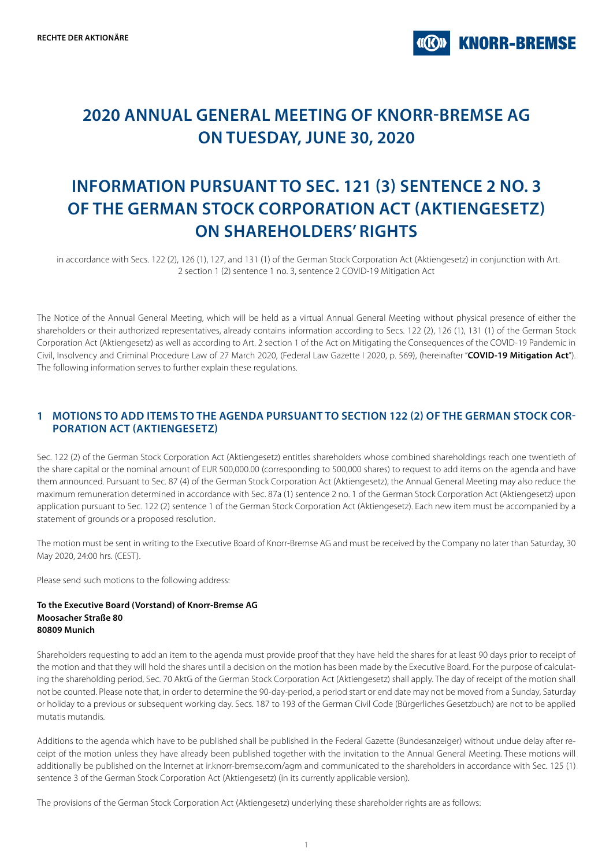## **2020 ANNUAL GENERAL MEETING OF KNORR-BREMSE AG ON TUESDAY, JUNE 30, 2020**

# **INFORMATION PURSUANT TO SEC. 121 (3) SENTENCE 2 NO. 3 OF THE GERMAN STOCK CORPORATION ACT (AKTIENGESETZ) ON SHAREHOLDERS' RIGHTS**

in accordance with Secs. 122 (2), 126 (1), 127, and 131 (1) of the German Stock Corporation Act (Aktiengesetz) in conjunction with Art. 2 section 1 (2) sentence 1 no. 3, sentence 2 COVID-19 Mitigation Act

The Notice of the Annual General Meeting, which will be held as a virtual Annual General Meeting without physical presence of either the shareholders or their authorized representatives, already contains information according to Secs. 122 (2), 126 (1), 131 (1) of the German Stock Corporation Act (Aktiengesetz) as well as according to Art. 2 section 1 of the Act on Mitigating the Consequences of the COVID-19 Pandemic in Civil, Insolvency and Criminal Procedure Law of 27 March 2020, (Federal Law Gazette I 2020, p. 569), (hereinafter "**COVID-19 Mitigation Act**"). The following information serves to further explain these regulations.

## **1 MOTIONS TO ADD ITEMS TO THE AGENDA PURSUANT TO SECTION 122 (2) OF THE GERMAN STOCK COR-PORATION ACT (AKTIENGESETZ)**

Sec. 122 (2) of the German Stock Corporation Act (Aktiengesetz) entitles shareholders whose combined shareholdings reach one twentieth of the share capital or the nominal amount of EUR 500,000.00 (corresponding to 500,000 shares) to request to add items on the agenda and have them announced. Pursuant to Sec. 87 (4) of the German Stock Corporation Act (Aktiengesetz), the Annual General Meeting may also reduce the maximum remuneration determined in accordance with Sec. 87a (1) sentence 2 no. 1 of the German Stock Corporation Act (Aktiengesetz) upon application pursuant to Sec. 122 (2) sentence 1 of the German Stock Corporation Act (Aktiengesetz). Each new item must be accompanied by a statement of grounds or a proposed resolution.

The motion must be sent in writing to the Executive Board of Knorr-Bremse AG and must be received by the Company no later than Saturday, 30 May 2020, 24:00 hrs. (CEST).

Please send such motions to the following address:

#### **To the Executive Board (Vorstand) of Knorr-Bremse AG Moosacher Straße 80 80809 Munich**

Shareholders requesting to add an item to the agenda must provide proof that they have held the shares for at least 90 days prior to receipt of the motion and that they will hold the shares until a decision on the motion has been made by the Executive Board. For the purpose of calculating the shareholding period, Sec. 70 AktG of the German Stock Corporation Act (Aktiengesetz) shall apply. The day of receipt of the motion shall not be counted. Please note that, in order to determine the 90-day-period, a period start or end date may not be moved from a Sunday, Saturday or holiday to a previous or subsequent working day. Secs. 187 to 193 of the German Civil Code (Bürgerliches Gesetzbuch) are not to be applied mutatis mutandis.

Additions to the agenda which have to be published shall be published in the Federal Gazette (Bundesanzeiger) without undue delay after receipt of the motion unless they have already been published together with the invitation to the Annual General Meeting. These motions will additionally be published on the Internet at ir.knorr-bremse.com/agm and communicated to the shareholders in accordance with Sec. 125 (1) sentence 3 of the German Stock Corporation Act (Aktiengesetz) (in its currently applicable version).

The provisions of the German Stock Corporation Act (Aktiengesetz) underlying these shareholder rights are as follows: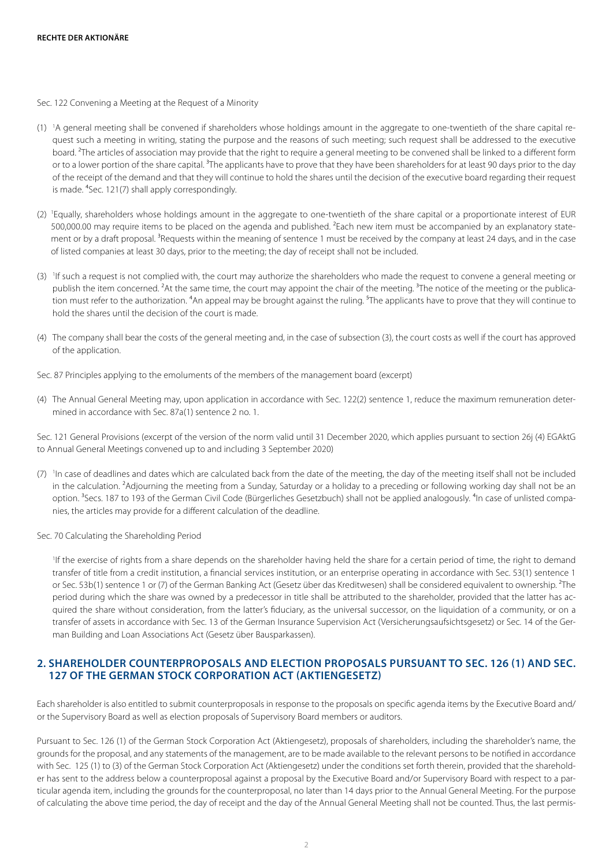Sec. 122 Convening a Meeting at the Request of a Minority

- (1) 1 A general meeting shall be convened if shareholders whose holdings amount in the aggregate to one-twentieth of the share capital request such a meeting in writing, stating the purpose and the reasons of such meeting; such request shall be addressed to the executive board. <sup>2</sup>The articles of association may provide that the right to require a general meeting to be convened shall be linked to a different form or to a lower portion of the share capital.<sup>3</sup>The applicants have to prove that they have been shareholders for at least 90 days prior to the day of the receipt of the demand and that they will continue to hold the shares until the decision of the executive board regarding their request is made. <sup>4</sup>Sec. 121(7) shall apply correspondingly.
- (2) 1 Equally, shareholders whose holdings amount in the aggregate to one-twentieth of the share capital or a proportionate interest of EUR 500,000.00 may require items to be placed on the agenda and published. <sup>2</sup>Each new item must be accompanied by an explanatory statement or by a draft proposal. <sup>3</sup>Requests within the meaning of sentence 1 must be received by the company at least 24 days, and in the case of listed companies at least 30 days, prior to the meeting; the day of receipt shall not be included.
- (3) If such a request is not complied with, the court may authorize the shareholders who made the request to convene a general meeting or publish the item concerned. <sup>2</sup>At the same time, the court may appoint the chair of the meeting. <sup>3</sup>The notice of the meeting or the publication must refer to the authorization. <sup>4</sup>An appeal may be brought against the ruling. <sup>5</sup>The applicants have to prove that they will continue to hold the shares until the decision of the court is made.
- (4) The company shall bear the costs of the general meeting and, in the case of subsection (3), the court costs as well if the court has approved of the application.
- Sec. 87 Principles applying to the emoluments of the members of the management board (excerpt)
- (4) The Annual General Meeting may, upon application in accordance with Sec. 122(2) sentence 1, reduce the maximum remuneration determined in accordance with Sec. 87a(1) sentence 2 no. 1.

Sec. 121 General Provisions (excerpt of the version of the norm valid until 31 December 2020, which applies pursuant to section 26j (4) EGAktG to Annual General Meetings convened up to and including 3 September 2020)

- (7) In case of deadlines and dates which are calculated back from the date of the meeting, the day of the meeting itself shall not be included in the calculation. <sup>2</sup>Adjourning the meeting from a Sunday, Saturday or a holiday to a preceding or following working day shall not be an option. <sup>3</sup>Secs. 187 to 193 of the German Civil Code (Bürgerliches Gesetzbuch) shall not be applied analogously. <sup>4</sup>In case of unlisted companies, the articles may provide for a different calculation of the deadline.
- Sec. 70 Calculating the Shareholding Period

<sup>1</sup>If the exercise of rights from a share depends on the shareholder having held the share for a certain period of time, the right to demand transfer of title from a credit institution, a financial services institution, or an enterprise operating in accordance with Sec. 53(1) sentence 1 or Sec. 53b(1) sentence 1 or (7) of the German Banking Act (Gesetz über das Kreditwesen) shall be considered equivalent to ownership. <sup>2</sup>The period during which the share was owned by a predecessor in title shall be attributed to the shareholder, provided that the latter has acquired the share without consideration, from the latter's fiduciary, as the universal successor, on the liquidation of a community, or on a transfer of assets in accordance with Sec. 13 of the German Insurance Supervision Act (Versicherungsaufsichtsgesetz) or Sec. 14 of the German Building and Loan Associations Act (Gesetz über Bausparkassen).

### **2. SHAREHOLDER COUNTERPROPOSALS AND ELECTION PROPOSALS PURSUANT TO SEC. 126 (1) AND SEC. 127 OF THE GERMAN STOCK CORPORATION ACT (AKTIENGESETZ)**

Each shareholder is also entitled to submit counterproposals in response to the proposals on specific agenda items by the Executive Board and/ or the Supervisory Board as well as election proposals of Supervisory Board members or auditors.

Pursuant to Sec. 126 (1) of the German Stock Corporation Act (Aktiengesetz), proposals of shareholders, including the shareholder's name, the grounds for the proposal, and any statements of the management, are to be made available to the relevant persons to be notified in accordance with Sec. 125 (1) to (3) of the German Stock Corporation Act (Aktiengesetz) under the conditions set forth therein, provided that the shareholder has sent to the address below a counterproposal against a proposal by the Executive Board and/or Supervisory Board with respect to a particular agenda item, including the grounds for the counterproposal, no later than 14 days prior to the Annual General Meeting. For the purpose of calculating the above time period, the day of receipt and the day of the Annual General Meeting shall not be counted. Thus, the last permis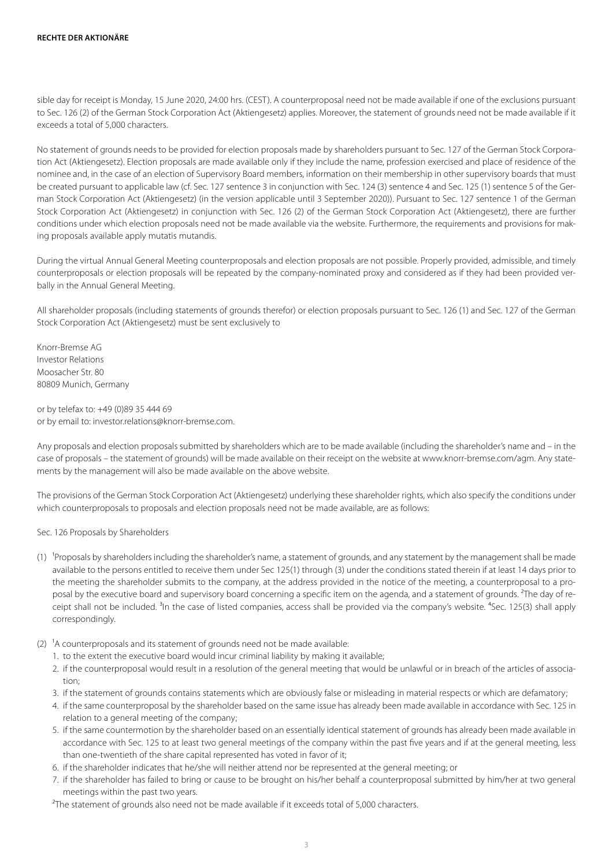sible day for receipt is Monday, 15 June 2020, 24:00 hrs. (CEST). A counterproposal need not be made available if one of the exclusions pursuant to Sec. 126 (2) of the German Stock Corporation Act (Aktiengesetz) applies. Moreover, the statement of grounds need not be made available if it exceeds a total of 5,000 characters.

No statement of grounds needs to be provided for election proposals made by shareholders pursuant to Sec. 127 of the German Stock Corporation Act (Aktiengesetz). Election proposals are made available only if they include the name, profession exercised and place of residence of the nominee and, in the case of an election of Supervisory Board members, information on their membership in other supervisory boards that must be created pursuant to applicable law (cf. Sec. 127 sentence 3 in conjunction with Sec. 124 (3) sentence 4 and Sec. 125 (1) sentence 5 of the German Stock Corporation Act (Aktiengesetz) (in the version applicable until 3 September 2020)). Pursuant to Sec. 127 sentence 1 of the German Stock Corporation Act (Aktiengesetz) in conjunction with Sec. 126 (2) of the German Stock Corporation Act (Aktiengesetz), there are further conditions under which election proposals need not be made available via the website. Furthermore, the requirements and provisions for making proposals available apply mutatis mutandis.

During the virtual Annual General Meeting counterproposals and election proposals are not possible. Properly provided, admissible, and timely counterproposals or election proposals will be repeated by the company-nominated proxy and considered as if they had been provided verbally in the Annual General Meeting.

All shareholder proposals (including statements of grounds therefor) or election proposals pursuant to Sec. 126 (1) and Sec. 127 of the German Stock Corporation Act (Aktiengesetz) must be sent exclusively to

Knorr-Bremse AG Investor Relations Moosacher Str. 80 80809 Munich, Germany

or by telefax to: +49 (0)89 35 444 69 or by email to: investor.relations@knorr-bremse.com.

Any proposals and election proposals submitted by shareholders which are to be made available (including the shareholder's name and – in the case of proposals – the statement of grounds) will be made available on their receipt on the website at www.knorr-bremse.com/agm. Any statements by the management will also be made available on the above website.

The provisions of the German Stock Corporation Act (Aktiengesetz) underlying these shareholder rights, which also specify the conditions under which counterproposals to proposals and election proposals need not be made available, are as follows:

#### Sec. 126 Proposals by Shareholders

- (1) Proposals by shareholders including the shareholder's name, a statement of grounds, and any statement by the management shall be made available to the persons entitled to receive them under Sec 125(1) through (3) under the conditions stated therein if at least 14 days prior to the meeting the shareholder submits to the company, at the address provided in the notice of the meeting, a counterproposal to a proposal by the executive board and supervisory board concerning a specific item on the agenda, and a statement of grounds. ²The day of receipt shall not be included. <sup>3</sup>In the case of listed companies, access shall be provided via the company's website. <sup>4</sup>Sec. 125(3) shall apply correspondingly.
- (2)  $^1$ A counterproposals and its statement of grounds need not be made available:
	- 1. to the extent the executive board would incur criminal liability by making it available;
	- 2. if the counterproposal would result in a resolution of the general meeting that would be unlawful or in breach of the articles of association;
	- 3. if the statement of grounds contains statements which are obviously false or misleading in material respects or which are defamatory;
	- 4. if the same counterproposal by the shareholder based on the same issue has already been made available in accordance with Sec. 125 in relation to a general meeting of the company;
	- 5. if the same countermotion by the shareholder based on an essentially identical statement of grounds has already been made available in accordance with Sec. 125 to at least two general meetings of the company within the past five years and if at the general meeting, less than one-twentieth of the share capital represented has voted in favor of it;
	- 6. if the shareholder indicates that he/she will neither attend nor be represented at the general meeting; or
	- 7. if the shareholder has failed to bring or cause to be brought on his/her behalf a counterproposal submitted by him/her at two general meetings within the past two years.

<sup>2</sup>The statement of grounds also need not be made available if it exceeds total of 5,000 characters.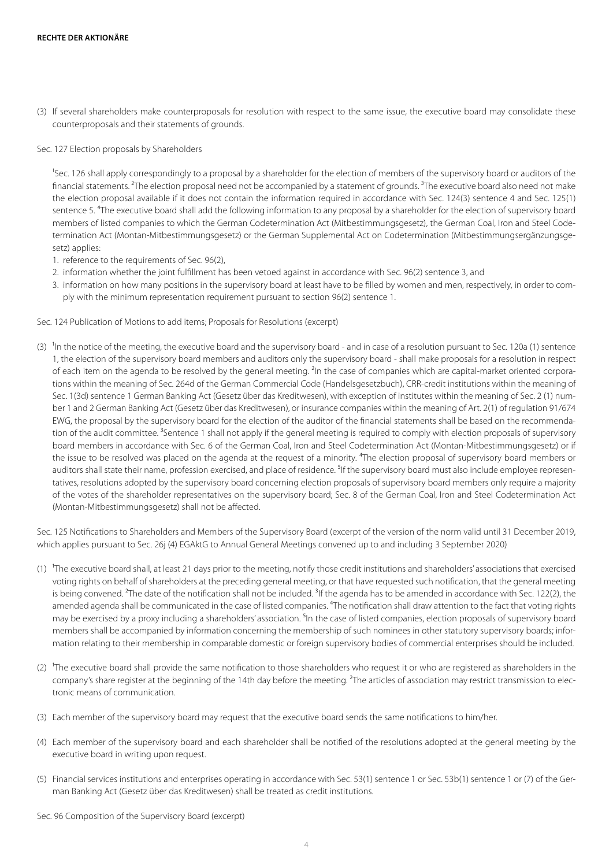(3) If several shareholders make counterproposals for resolution with respect to the same issue, the executive board may consolidate these counterproposals and their statements of grounds.

#### Sec. 127 Election proposals by Shareholders

<sup>1</sup>Sec. 126 shall apply correspondingly to a proposal by a shareholder for the election of members of the supervisory board or auditors of the financial statements. <sup>2</sup>The election proposal need not be accompanied by a statement of grounds. <sup>3</sup>The executive board also need not make the election proposal available if it does not contain the information required in accordance with Sec. 124(3) sentence 4 and Sec. 125(1) sentence 5. <sup>4</sup>The executive board shall add the following information to any proposal by a shareholder for the election of supervisory board members of listed companies to which the German Codetermination Act (Mitbestimmungsgesetz), the German Coal, Iron and Steel Codetermination Act (Montan-Mitbestimmungsgesetz) or the German Supplemental Act on Codetermination (Mitbestimmungsergänzungsgesetz) applies:

- 1. reference to the requirements of Sec. 96(2),
- 2. information whether the joint fulfillment has been vetoed against in accordance with Sec. 96(2) sentence 3, and
- 3. information on how many positions in the supervisory board at least have to be filled by women and men, respectively, in order to comply with the minimum representation requirement pursuant to section 96(2) sentence 1.

Sec. 124 Publication of Motions to add items; Proposals for Resolutions (excerpt)

(3)  $\,$  In the notice of the meeting, the executive board and the supervisory board - and in case of a resolution pursuant to Sec. 120a (1) sentence 1, the election of the supervisory board members and auditors only the supervisory board - shall make proposals for a resolution in respect of each item on the agenda to be resolved by the general meeting. <sup>2</sup>In the case of companies which are capital-market oriented corporations within the meaning of Sec. 264d of the German Commercial Code (Handelsgesetzbuch), CRR-credit institutions within the meaning of Sec. 1(3d) sentence 1 German Banking Act (Gesetz über das Kreditwesen), with exception of institutes within the meaning of Sec. 2 (1) number 1 and 2 German Banking Act (Gesetz über das Kreditwesen), or insurance companies within the meaning of Art. 2(1) of regulation 91/674 EWG, the proposal by the supervisory board for the election of the auditor of the financial statements shall be based on the recommendation of the audit committee. <sup>3</sup>Sentence 1 shall not apply if the general meeting is required to comply with election proposals of supervisory board members in accordance with Sec. 6 of the German Coal, Iron and Steel Codetermination Act (Montan-Mitbestimmungsgesetz) or if the issue to be resolved was placed on the agenda at the request of a minority. <sup>4</sup>The election proposal of supervisory board members or auditors shall state their name, profession exercised, and place of residence. <sup>5</sup>If the supervisory board must also include employee representatives, resolutions adopted by the supervisory board concerning election proposals of supervisory board members only require a majority of the votes of the shareholder representatives on the supervisory board; Sec. 8 of the German Coal, Iron and Steel Codetermination Act (Montan-Mitbestimmungsgesetz) shall not be affected.

Sec. 125 Notifications to Shareholders and Members of the Supervisory Board (excerpt of the version of the norm valid until 31 December 2019, which applies pursuant to Sec. 26j (4) EGAktG to Annual General Meetings convened up to and including 3 September 2020)

- (1) The executive board shall, at least 21 days prior to the meeting, notify those credit institutions and shareholders' associations that exercised voting rights on behalf of shareholders at the preceding general meeting, or that have requested such notification, that the general meeting is being convened. <sup>2</sup>The date of the notification shall not be included. <sup>3</sup>If the agenda has to be amended in accordance with Sec. 122(2), the amended agenda shall be communicated in the case of listed companies. <sup>4</sup>The notification shall draw attention to the fact that voting rights may be exercised by a proxy including a shareholders' association. <sup>5</sup>In the case of listed companies, election proposals of supervisory board members shall be accompanied by information concerning the membership of such nominees in other statutory supervisory boards; information relating to their membership in comparable domestic or foreign supervisory bodies of commercial enterprises should be included.
- (2) The executive board shall provide the same notification to those shareholders who request it or who are registered as shareholders in the company's share register at the beginning of the 14th day before the meeting. ²The articles of association may restrict transmission to electronic means of communication.
- (3) Each member of the supervisory board may request that the executive board sends the same notifications to him/her.
- (4) Each member of the supervisory board and each shareholder shall be notified of the resolutions adopted at the general meeting by the executive board in writing upon request.
- (5) Financial services institutions and enterprises operating in accordance with Sec. 53(1) sentence 1 or Sec. 53b(1) sentence 1 or (7) of the German Banking Act (Gesetz über das Kreditwesen) shall be treated as credit institutions.

Sec. 96 Composition of the Supervisory Board (excerpt)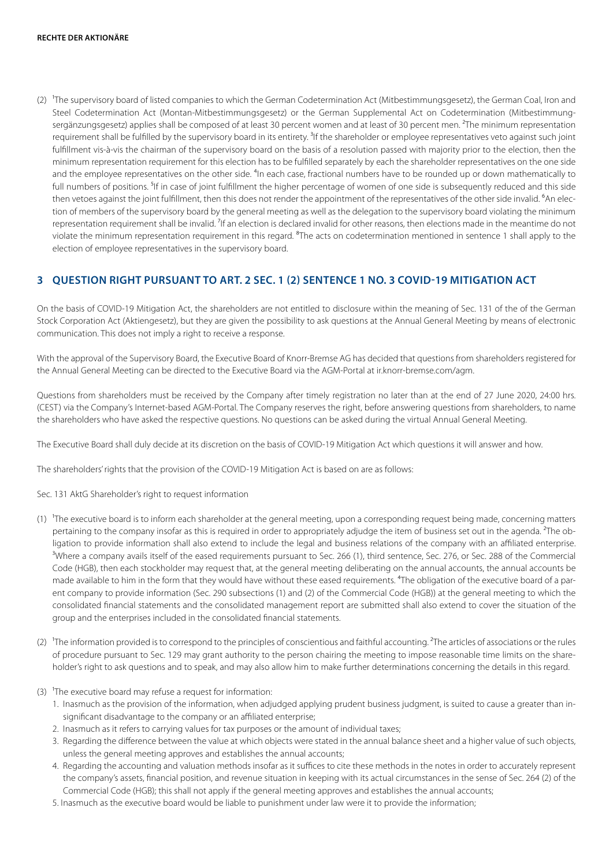(2) The supervisory board of listed companies to which the German Codetermination Act (Mitbestimmungsgesetz), the German Coal, Iron and Steel Codetermination Act (Montan-Mitbestimmungsgesetz) or the German Supplemental Act on Codetermination (Mitbestimmungsergänzungsgesetz) applies shall be composed of at least 30 percent women and at least of 30 percent men. <sup>2</sup>The minimum representation requirement shall be fulfilled by the supervisory board in its entirety.<sup>3</sup>If the shareholder or employee representatives veto against such joint fulfillment vis-à-vis the chairman of the supervisory board on the basis of a resolution passed with majority prior to the election, then the minimum representation requirement for this election has to be fulfilled separately by each the shareholder representatives on the one side and the employee representatives on the other side. <sup>4</sup>In each case, fractional numbers have to be rounded up or down mathematically to full numbers of positions. <sup>5</sup>If in case of joint fulfillment the higher percentage of women of one side is subsequently reduced and this side then vetoes against the joint fulfillment, then this does not render the appointment of the representatives of the other side invalid.  $6$ An election of members of the supervisory board by the general meeting as well as the delegation to the supervisory board violating the minimum representation requirement shall be invalid.<sup>7</sup>If an election is declared invalid for other reasons, then elections made in the meantime do not violate the minimum representation requirement in this regard. <sup>8</sup>The acts on codetermination mentioned in sentence 1 shall apply to the election of employee representatives in the supervisory board.

## **3 QUESTION RIGHT PURSUANT TO ART. 2 SEC. 1 (2) SENTENCE 1 NO. 3 COVID-19 MITIGATION ACT**

On the basis of COVID-19 Mitigation Act, the shareholders are not entitled to disclosure within the meaning of Sec. 131 of the of the German Stock Corporation Act (Aktiengesetz), but they are given the possibility to ask questions at the Annual General Meeting by means of electronic communication. This does not imply a right to receive a response.

With the approval of the Supervisory Board, the Executive Board of Knorr-Bremse AG has decided that questions from shareholders registered for the Annual General Meeting can be directed to the Executive Board via the AGM-Portal at ir.knorr-bremse.com/agm.

Questions from shareholders must be received by the Company after timely registration no later than at the end of 27 June 2020, 24:00 hrs. (CEST) via the Company's Internet-based AGM-Portal. The Company reserves the right, before answering questions from shareholders, to name the shareholders who have asked the respective questions. No questions can be asked during the virtual Annual General Meeting.

The Executive Board shall duly decide at its discretion on the basis of COVID-19 Mitigation Act which questions it will answer and how.

The shareholders' rights that the provision of the COVID-19 Mitigation Act is based on are as follows:

Sec. 131 AktG Shareholder's right to request information

- (1) The executive board is to inform each shareholder at the general meeting, upon a corresponding request being made, concerning matters pertaining to the company insofar as this is required in order to appropriately adjudge the item of business set out in the agenda. ²The obligation to provide information shall also extend to include the legal and business relations of the company with an affiliated enterprise. <sup>3</sup>Where a company avails itself of the eased requirements pursuant to Sec. 266 (1), third sentence, Sec. 276, or Sec. 288 of the Commercial Code (HGB), then each stockholder may request that, at the general meeting deliberating on the annual accounts, the annual accounts be made available to him in the form that they would have without these eased requirements. <sup>4</sup>The obligation of the executive board of a parent company to provide information (Sec. 290 subsections (1) and (2) of the Commercial Code (HGB)) at the general meeting to which the consolidated financial statements and the consolidated management report are submitted shall also extend to cover the situation of the group and the enterprises included in the consolidated financial statements.
- (2) The information provided is to correspond to the principles of conscientious and faithful accounting. <sup>2</sup>The articles of associations or the rules of procedure pursuant to Sec. 129 may grant authority to the person chairing the meeting to impose reasonable time limits on the shareholder's right to ask questions and to speak, and may also allow him to make further determinations concerning the details in this regard.
- (3)  $^1$ The executive board may refuse a request for information:
	- 1. Inasmuch as the provision of the information, when adjudged applying prudent business judgment, is suited to cause a greater than insignificant disadvantage to the company or an affiliated enterprise;
	- 2. Inasmuch as it refers to carrying values for tax purposes or the amount of individual taxes;
	- 3. Regarding the difference between the value at which objects were stated in the annual balance sheet and a higher value of such objects, unless the general meeting approves and establishes the annual accounts;
	- 4. Regarding the accounting and valuation methods insofar as it suffices to cite these methods in the notes in order to accurately represent the company's assets, financial position, and revenue situation in keeping with its actual circumstances in the sense of Sec. 264 (2) of the Commercial Code (HGB); this shall not apply if the general meeting approves and establishes the annual accounts;
	- 5. Inasmuch as the executive board would be liable to punishment under law were it to provide the information;